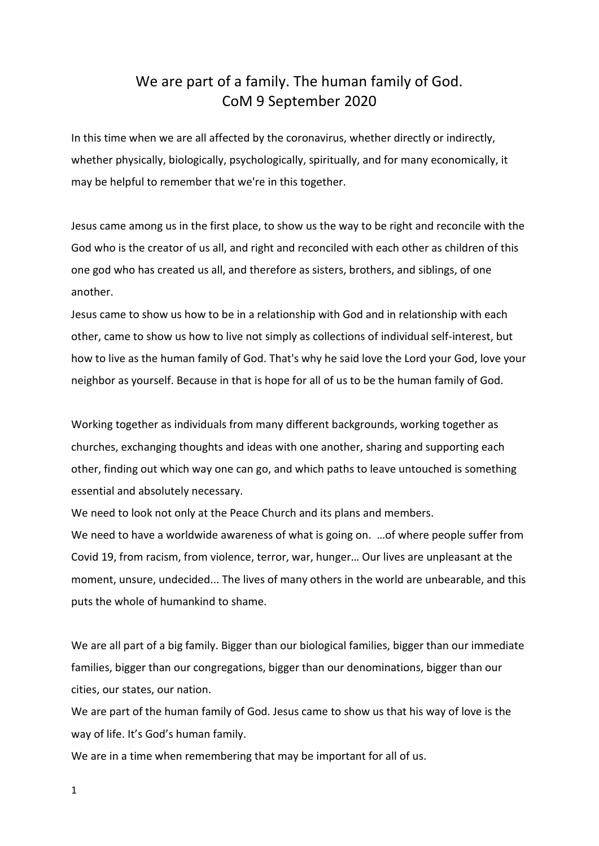## We are part of a family. The human family of God. CoM 9 September 2020

In this time when we are all affected by the coronavirus, whether directly or indirectly, whether physically, biologically, psychologically, spiritually, and for many economically, it may be helpful to remember that we're in this together.

Jesus came among us in the first place, to show us the way to be right and reconcile with the God who is the creator of us all, and right and reconciled with each other as children of this one god who has created us all, and therefore as sisters, brothers, and siblings, of one another.

Jesus came to show us how to be in a relationship with God and in relationship with each other, came to show us how to live not simply as collections of individual self-interest, but how to live as the human family of God. That's why he said love the Lord your God, love your neighbor as yourself. Because in that is hope for all of us to be the human family of God.

Working together as individuals from many different backgrounds, working together as churches, exchanging thoughts and ideas with one another, sharing and supporting each other, finding out which way one can go, and which paths to leave untouched is something essential and absolutely necessary.

We need to look not only at the Peace Church and its plans and members.

We need to have a worldwide awareness of what is going on. …of where people suffer from Covid 19, from racism, from violence, terror, war, hunger… Our lives are unpleasant at the moment, unsure, undecided... The lives of many others in the world are unbearable, and this puts the whole of humankind to shame.

We are all part of a big family. Bigger than our biological families, bigger than our immediate families, bigger than our congregations, bigger than our denominations, bigger than our cities, our states, our nation.

We are part of the human family of God. Jesus came to show us that his way of love is the way of life. It's God's human family.

We are in a time when remembering that may be important for all of us.

1